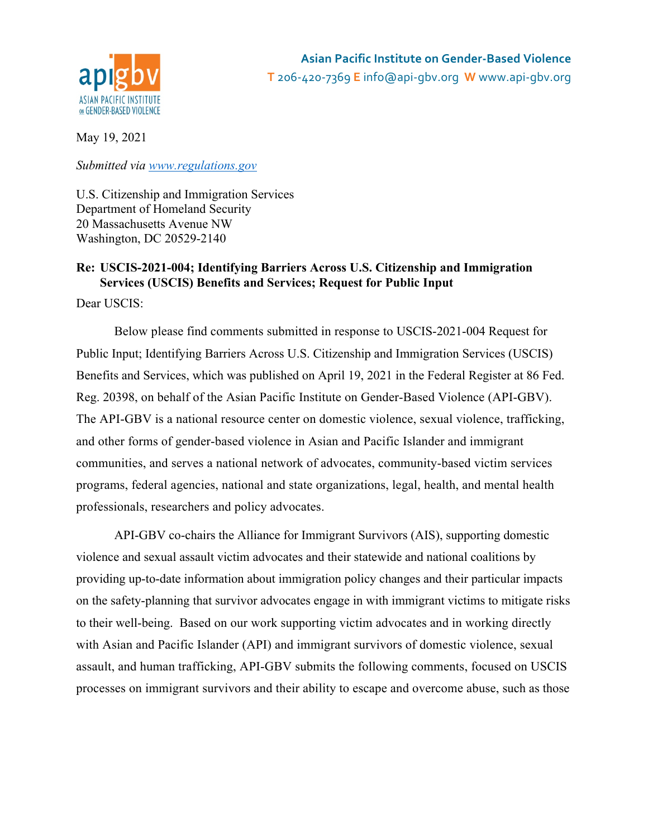

May 19, 2021

*Submitted via www.regulations.gov*

U.S. Citizenship and Immigration Services Department of Homeland Security 20 Massachusetts Avenue NW Washington, DC 20529-2140

# **Re: USCIS-2021-004; Identifying Barriers Across U.S. Citizenship and Immigration Services (USCIS) Benefits and Services; Request for Public Input**

Dear USCIS:

Below please find comments submitted in response to USCIS-2021-004 Request for Public Input; Identifying Barriers Across U.S. Citizenship and Immigration Services (USCIS) Benefits and Services, which was published on April 19, 2021 in the Federal Register at 86 Fed. Reg. 20398, on behalf of the Asian Pacific Institute on Gender-Based Violence (API-GBV). The API-GBV is a national resource center on domestic violence, sexual violence, trafficking, and other forms of gender-based violence in Asian and Pacific Islander and immigrant communities, and serves a national network of advocates, community-based victim services programs, federal agencies, national and state organizations, legal, health, and mental health professionals, researchers and policy advocates.

API-GBV co-chairs the Alliance for Immigrant Survivors (AIS), supporting domestic violence and sexual assault victim advocates and their statewide and national coalitions by providing up-to-date information about immigration policy changes and their particular impacts on the safety-planning that survivor advocates engage in with immigrant victims to mitigate risks to their well-being. Based on our work supporting victim advocates and in working directly with Asian and Pacific Islander (API) and immigrant survivors of domestic violence, sexual assault, and human trafficking, API-GBV submits the following comments, focused on USCIS processes on immigrant survivors and their ability to escape and overcome abuse, such as those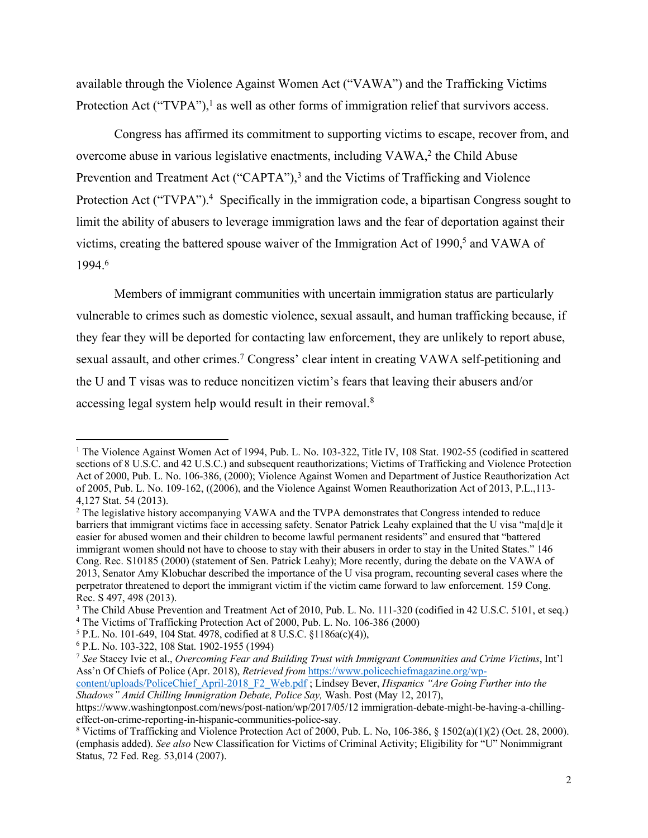available through the Violence Against Women Act ("VAWA") and the Trafficking Victims Protection Act ("TVPA"), $<sup>1</sup>$  as well as other forms of immigration relief that survivors access.</sup>

Congress has affirmed its commitment to supporting victims to escape, recover from, and overcome abuse in various legislative enactments, including VAWA,<sup>2</sup> the Child Abuse Prevention and Treatment Act ("CAPTA"),<sup>3</sup> and the Victims of Trafficking and Violence Protection Act ("TVPA").<sup>4</sup> Specifically in the immigration code, a bipartisan Congress sought to limit the ability of abusers to leverage immigration laws and the fear of deportation against their victims, creating the battered spouse waiver of the Immigration Act of 1990,<sup>5</sup> and VAWA of 1994. 6

Members of immigrant communities with uncertain immigration status are particularly vulnerable to crimes such as domestic violence, sexual assault, and human trafficking because, if they fear they will be deported for contacting law enforcement, they are unlikely to report abuse, sexual assault, and other crimes.<sup>7</sup> Congress' clear intent in creating VAWA self-petitioning and the U and T visas was to reduce noncitizen victim's fears that leaving their abusers and/or accessing legal system help would result in their removal.<sup>8</sup>

<sup>4</sup> The Victims of Trafficking Protection Act of 2000, Pub. L. No. 106-386 (2000)

<sup>&</sup>lt;sup>1</sup> The Violence Against Women Act of 1994, Pub. L. No. 103-322, Title IV, 108 Stat. 1902-55 (codified in scattered sections of 8 U.S.C. and 42 U.S.C.) and subsequent reauthorizations; Victims of Trafficking and Violence Protection Act of 2000, Pub. L. No. 106-386, (2000); Violence Against Women and Department of Justice Reauthorization Act of 2005, Pub. L. No. 109-162, ((2006), and the Violence Against Women Reauthorization Act of 2013, P.L.,113- 4,127 Stat. 54 (2013).

<sup>2</sup> The legislative history accompanying VAWA and the TVPA demonstrates that Congress intended to reduce barriers that immigrant victims face in accessing safety. Senator Patrick Leahy explained that the U visa "ma[d]e it easier for abused women and their children to become lawful permanent residents" and ensured that "battered immigrant women should not have to choose to stay with their abusers in order to stay in the United States." 146 Cong. Rec. S10185 (2000) (statement of Sen. Patrick Leahy); More recently, during the debate on the VAWA of 2013, Senator Amy Klobuchar described the importance of the U visa program, recounting several cases where the perpetrator threatened to deport the immigrant victim if the victim came forward to law enforcement. 159 Cong. Rec. S 497, 498 (2013).

<sup>&</sup>lt;sup>3</sup> The Child Abuse Prevention and Treatment Act of 2010, Pub. L. No. 111-320 (codified in 42 U.S.C. 5101, et seq.)

<sup>5</sup> P.L. No. 101-649, 104 Stat. 4978, codified at 8 U.S.C. §1186a(c)(4)),

<sup>6</sup> P.L. No. 103-322, 108 Stat. 1902-1955 (1994)

<sup>7</sup> *See* Stacey Ivie et al., *Overcoming Fear and Building Trust with Immigrant Communities and Crime Victims*, Int'l Ass'n Of Chiefs of Police (Apr. 2018), *Retrieved from* https://www.policechiefmagazine.org/wp-

content/uploads/PoliceChief\_April-2018\_F2\_Web.pdf ; Lindsey Bever, *Hispanics "Are Going Further into the Shadows" Amid Chilling Immigration Debate, Police Say,* Wash. Post (May 12, 2017),

https://www.washingtonpost.com/news/post-nation/wp/2017/05/12 immigration-debate-might-be-having-a-chillingeffect-on-crime-reporting-in-hispanic-communities-police-say.

<sup>8</sup> Victims of Trafficking and Violence Protection Act of 2000, Pub. L. No, 106-386, § 1502(a)(1)(2) (Oct. 28, 2000). (emphasis added). *See also* New Classification for Victims of Criminal Activity; Eligibility for "U" Nonimmigrant Status, 72 Fed. Reg. 53,014 (2007).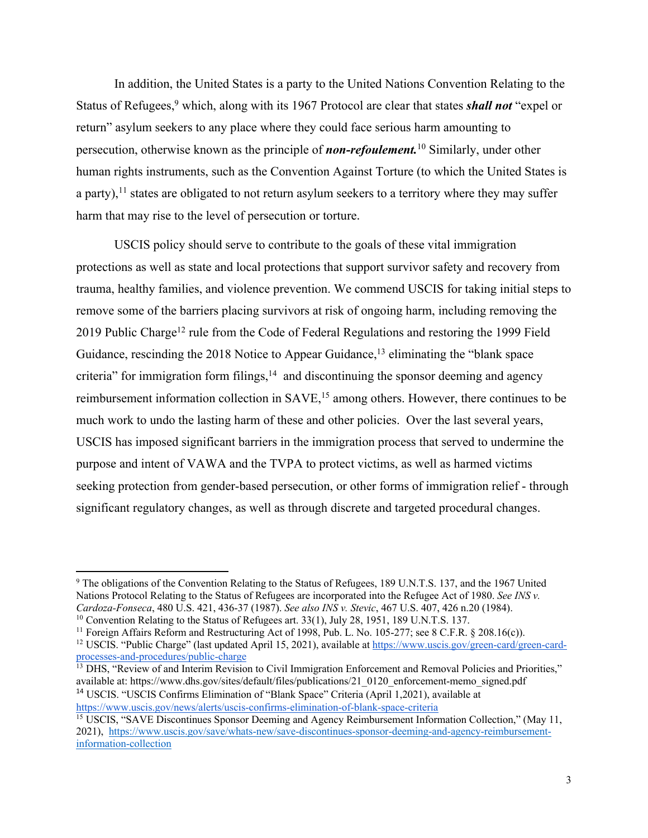In addition, the United States is a party to the United Nations Convention Relating to the Status of Refugees,<sup>9</sup> which, along with its 1967 Protocol are clear that states *shall not* "expel or return" asylum seekers to any place where they could face serious harm amounting to persecution, otherwise known as the principle of *non-refoulement.*<sup>10</sup> Similarly, under other human rights instruments, such as the Convention Against Torture (to which the United States is a party),<sup>11</sup> states are obligated to not return asylum seekers to a territory where they may suffer harm that may rise to the level of persecution or torture.

USCIS policy should serve to contribute to the goals of these vital immigration protections as well as state and local protections that support survivor safety and recovery from trauma, healthy families, and violence prevention. We commend USCIS for taking initial steps to remove some of the barriers placing survivors at risk of ongoing harm, including removing the 2019 Public Charge<sup>12</sup> rule from the Code of Federal Regulations and restoring the 1999 Field Guidance, rescinding the 2018 Notice to Appear Guidance,<sup>13</sup> eliminating the "blank space criteria" for immigration form filings, $14$  and discontinuing the sponsor deeming and agency reimbursement information collection in SAVE,<sup>15</sup> among others. However, there continues to be much work to undo the lasting harm of these and other policies. Over the last several years, USCIS has imposed significant barriers in the immigration process that served to undermine the purpose and intent of VAWA and the TVPA to protect victims, as well as harmed victims seeking protection from gender-based persecution, or other forms of immigration relief - through significant regulatory changes, as well as through discrete and targeted procedural changes.

<sup>14</sup> USCIS. "USCIS Confirms Elimination of "Blank Space" Criteria (April 1,2021), available at https://www.uscis.gov/news/alerts/uscis-confirms-elimination-of-blank-space-criteria

<sup>9</sup> The obligations of the Convention Relating to the Status of Refugees, 189 U.N.T.S. 137, and the 1967 United Nations Protocol Relating to the Status of Refugees are incorporated into the Refugee Act of 1980. *See INS v. Cardoza-Fonseca*, 480 U.S. 421, 436-37 (1987). *See also INS v. Stevic*, 467 U.S. 407, 426 n.20 (1984).

<sup>&</sup>lt;sup>10</sup> Convention Relating to the Status of Refugees art. 33(1), July 28, 1951, 189 U.N.T.S. 137.

<sup>&</sup>lt;sup>11</sup> Foreign Affairs Reform and Restructuring Act of 1998, Pub. L. No. 105-277; see 8 C.F.R. § 208.16(c)).

<sup>12</sup> USCIS. "Public Charge" (last updated April 15, 2021), available at https://www.uscis.gov/green-card/green-cardprocesses-and-procedures/public-charge

<sup>&</sup>lt;sup>13</sup> DHS, "Review of and Interim Revision to Civil Immigration Enforcement and Removal Policies and Priorities," available at: https://www.dhs.gov/sites/default/files/publications/21\_0120\_enforcement-memo\_signed.pdf

<sup>&</sup>lt;sup>15</sup> USCIS, "SAVE Discontinues Sponsor Deeming and Agency Reimbursement Information Collection," (May 11, 2021), https://www.uscis.gov/save/whats-new/save-discontinues-sponsor-deeming-and-agency-reimbursementinformation-collection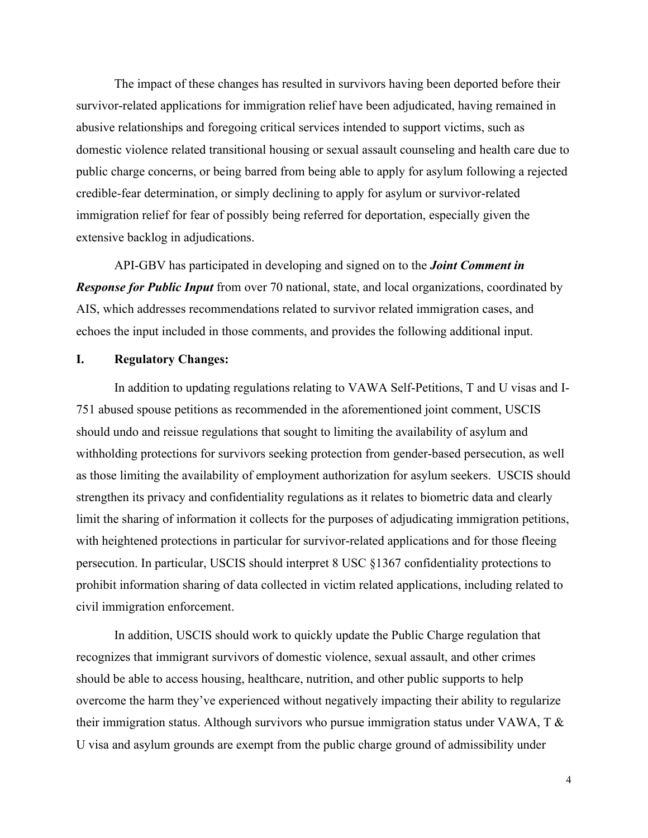The impact of these changes has resulted in survivors having been deported before their survivor-related applications for immigration relief have been adjudicated, having remained in abusive relationships and foregoing critical services intended to support victims, such as domestic violence related transitional housing or sexual assault counseling and health care due to public charge concerns, or being barred from being able to apply for asylum following a rejected credible-fear determination, or simply declining to apply for asylum or survivor-related immigration relief for fear of possibly being referred for deportation, especially given the extensive backlog in adjudications.

API-GBV has participated in developing and signed on to the *Joint Comment in Response for Public Input* from over 70 national, state, and local organizations, coordinated by AIS, which addresses recommendations related to survivor related immigration cases, and echoes the input included in those comments, and provides the following additional input.

#### **I. Regulatory Changes:**

In addition to updating regulations relating to VAWA Self-Petitions, T and U visas and I-751 abused spouse petitions as recommended in the aforementioned joint comment, USCIS should undo and reissue regulations that sought to limiting the availability of asylum and withholding protections for survivors seeking protection from gender-based persecution, as well as those limiting the availability of employment authorization for asylum seekers. USCIS should strengthen its privacy and confidentiality regulations as it relates to biometric data and clearly limit the sharing of information it collects for the purposes of adjudicating immigration petitions, with heightened protections in particular for survivor-related applications and for those fleeing persecution. In particular, USCIS should interpret 8 USC §1367 confidentiality protections to prohibit information sharing of data collected in victim related applications, including related to civil immigration enforcement.

In addition, USCIS should work to quickly update the Public Charge regulation that recognizes that immigrant survivors of domestic violence, sexual assault, and other crimes should be able to access housing, healthcare, nutrition, and other public supports to help overcome the harm they've experienced without negatively impacting their ability to regularize their immigration status. Although survivors who pursue immigration status under VAWA, T & U visa and asylum grounds are exempt from the public charge ground of admissibility under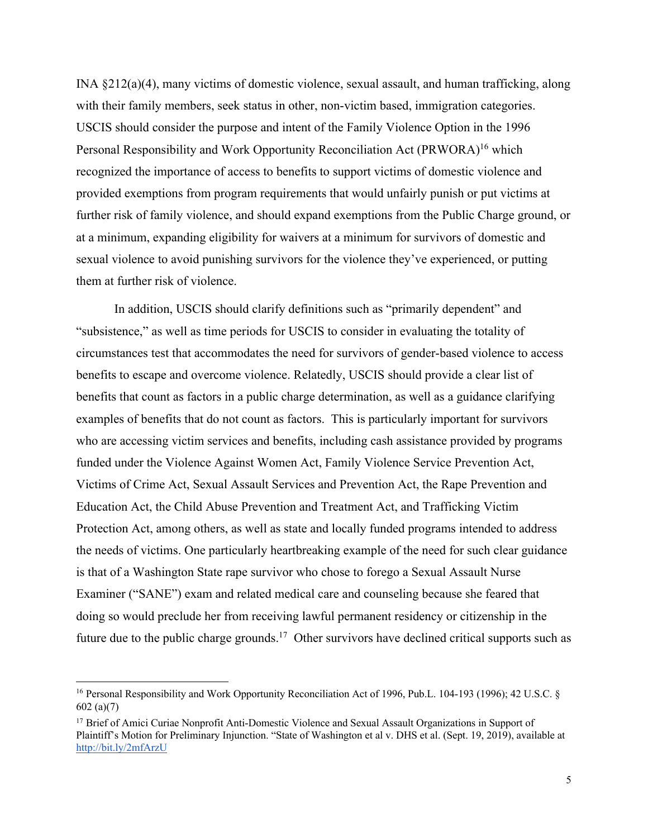INA §212(a)(4), many victims of domestic violence, sexual assault, and human trafficking, along with their family members, seek status in other, non-victim based, immigration categories. USCIS should consider the purpose and intent of the Family Violence Option in the 1996 Personal Responsibility and Work Opportunity Reconciliation Act (PRWORA)<sup>16</sup> which recognized the importance of access to benefits to support victims of domestic violence and provided exemptions from program requirements that would unfairly punish or put victims at further risk of family violence, and should expand exemptions from the Public Charge ground, or at a minimum, expanding eligibility for waivers at a minimum for survivors of domestic and sexual violence to avoid punishing survivors for the violence they've experienced, or putting them at further risk of violence.

In addition, USCIS should clarify definitions such as "primarily dependent" and "subsistence," as well as time periods for USCIS to consider in evaluating the totality of circumstances test that accommodates the need for survivors of gender-based violence to access benefits to escape and overcome violence. Relatedly, USCIS should provide a clear list of benefits that count as factors in a public charge determination, as well as a guidance clarifying examples of benefits that do not count as factors. This is particularly important for survivors who are accessing victim services and benefits, including cash assistance provided by programs funded under the Violence Against Women Act, Family Violence Service Prevention Act, Victims of Crime Act, Sexual Assault Services and Prevention Act, the Rape Prevention and Education Act, the Child Abuse Prevention and Treatment Act, and Trafficking Victim Protection Act, among others, as well as state and locally funded programs intended to address the needs of victims. One particularly heartbreaking example of the need for such clear guidance is that of a Washington State rape survivor who chose to forego a Sexual Assault Nurse Examiner ("SANE") exam and related medical care and counseling because she feared that doing so would preclude her from receiving lawful permanent residency or citizenship in the future due to the public charge grounds.<sup>17</sup> Other survivors have declined critical supports such as

<sup>&</sup>lt;sup>16</sup> Personal Responsibility and Work Opportunity Reconciliation Act of 1996, Pub.L. 104-193 (1996); 42 U.S.C. § 602 (a)(7)

<sup>&</sup>lt;sup>17</sup> Brief of Amici Curiae Nonprofit Anti-Domestic Violence and Sexual Assault Organizations in Support of Plaintiff's Motion for Preliminary Injunction. "State of Washington et al v. DHS et al. (Sept. 19, 2019), available at http://bit.ly/2mfArzU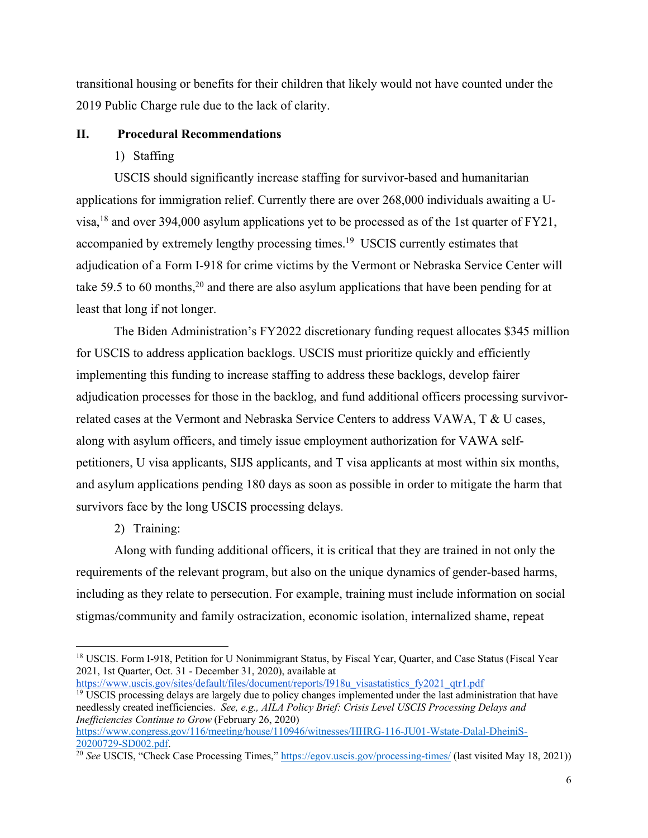transitional housing or benefits for their children that likely would not have counted under the 2019 Public Charge rule due to the lack of clarity.

### **II. Procedural Recommendations**

1) Staffing

USCIS should significantly increase staffing for survivor-based and humanitarian applications for immigration relief. Currently there are over 268,000 individuals awaiting a Uvisa,<sup>18</sup> and over 394,000 asylum applications yet to be processed as of the 1st quarter of FY21, accompanied by extremely lengthy processing times.<sup>19</sup> USCIS currently estimates that adjudication of a Form I-918 for crime victims by the Vermont or Nebraska Service Center will take 59.5 to 60 months,<sup>20</sup> and there are also asylum applications that have been pending for at least that long if not longer.

The Biden Administration's FY2022 discretionary funding request allocates \$345 million for USCIS to address application backlogs. USCIS must prioritize quickly and efficiently implementing this funding to increase staffing to address these backlogs, develop fairer adjudication processes for those in the backlog, and fund additional officers processing survivorrelated cases at the Vermont and Nebraska Service Centers to address VAWA, T & U cases, along with asylum officers, and timely issue employment authorization for VAWA selfpetitioners, U visa applicants, SIJS applicants, and T visa applicants at most within six months, and asylum applications pending 180 days as soon as possible in order to mitigate the harm that survivors face by the long USCIS processing delays.

2) Training:

Along with funding additional officers, it is critical that they are trained in not only the requirements of the relevant program, but also on the unique dynamics of gender-based harms, including as they relate to persecution. For example, training must include information on social stigmas/community and family ostracization, economic isolation, internalized shame, repeat

https://www.uscis.gov/sites/default/files/document/reports/I918u\_visastatistics\_fy2021\_qtr1.pdf  $\frac{19}{19}$  USCIS processing delays are largely due to policy changes implemented under the last administration that have needlessly created inefficiencies. *See, e.g., AILA Policy Brief: Crisis Level USCIS Processing Delays and Inefficiencies Continue to Grow* (February 26, 2020)

https://www.congress.gov/116/meeting/house/110946/witnesses/HHRG-116-JU01-Wstate-Dalal-DheiniS-20200729-SD002.pdf.

<sup>&</sup>lt;sup>18</sup> USCIS. Form I-918, Petition for U Nonimmigrant Status, by Fiscal Year, Quarter, and Case Status (Fiscal Year 2021, 1st Quarter, Oct. 31 - December 31, 2020), available at

<sup>&</sup>lt;sup>20</sup> See USCIS, "Check Case Processing Times," https://egov.uscis.gov/processing-times/ (last visited May 18, 2021))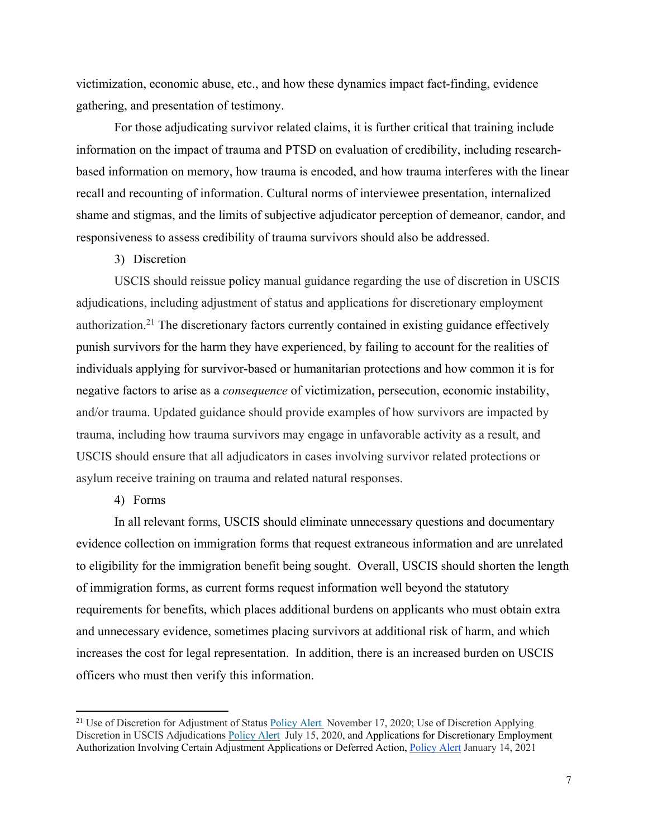victimization, economic abuse, etc., and how these dynamics impact fact-finding, evidence gathering, and presentation of testimony.

For those adjudicating survivor related claims, it is further critical that training include information on the impact of trauma and PTSD on evaluation of credibility, including researchbased information on memory, how trauma is encoded, and how trauma interferes with the linear recall and recounting of information. Cultural norms of interviewee presentation, internalized shame and stigmas, and the limits of subjective adjudicator perception of demeanor, candor, and responsiveness to assess credibility of trauma survivors should also be addressed.

3) Discretion

USCIS should reissue policy manual guidance regarding the use of discretion in USCIS adjudications, including adjustment of status and applications for discretionary employment authorization.21 The discretionary factors currently contained in existing guidance effectively punish survivors for the harm they have experienced, by failing to account for the realities of individuals applying for survivor-based or humanitarian protections and how common it is for negative factors to arise as a *consequence* of victimization, persecution, economic instability, and/or trauma. Updated guidance should provide examples of how survivors are impacted by trauma, including how trauma survivors may engage in unfavorable activity as a result, and USCIS should ensure that all adjudicators in cases involving survivor related protections or asylum receive training on trauma and related natural responses.

4) Forms

In all relevant forms, USCIS should eliminate unnecessary questions and documentary evidence collection on immigration forms that request extraneous information and are unrelated to eligibility for the immigration benefit being sought. Overall, USCIS should shorten the length of immigration forms, as current forms request information well beyond the statutory requirements for benefits, which places additional burdens on applicants who must obtain extra and unnecessary evidence, sometimes placing survivors at additional risk of harm, and which increases the cost for legal representation. In addition, there is an increased burden on USCIS officers who must then verify this information.

<sup>&</sup>lt;sup>21</sup> Use of Discretion for Adjustment of Status Policy Alert November 17, 2020; Use of Discretion Applying Discretion in USCIS Adjudications Policy Alert July 15, 2020, and Applications for Discretionary Employment Authorization Involving Certain Adjustment Applications or Deferred Action, Policy Alert January 14, 2021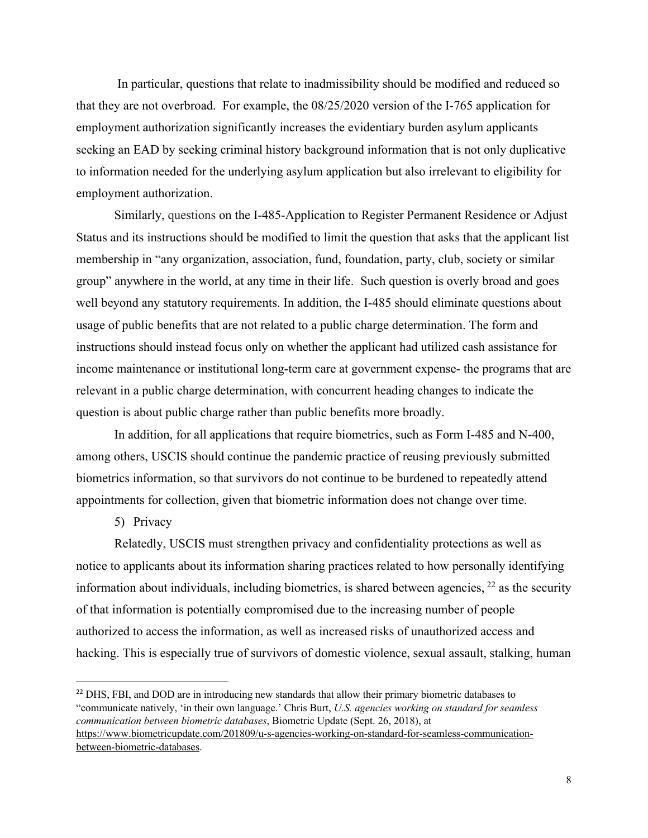In particular, questions that relate to inadmissibility should be modified and reduced so that they are not overbroad. For example, the 08/25/2020 version of the I-765 application for employment authorization significantly increases the evidentiary burden asylum applicants seeking an EAD by seeking criminal history background information that is not only duplicative to information needed for the underlying asylum application but also irrelevant to eligibility for employment authorization.

Similarly, questions on the I-485-Application to Register Permanent Residence or Adjust Status and its instructions should be modified to limit the question that asks that the applicant list membership in "any organization, association, fund, foundation, party, club, society or similar group" anywhere in the world, at any time in their life. Such question is overly broad and goes well beyond any statutory requirements. In addition, the I-485 should eliminate questions about usage of public benefits that are not related to a public charge determination. The form and instructions should instead focus only on whether the applicant had utilized cash assistance for income maintenance or institutional long-term care at government expense- the programs that are relevant in a public charge determination, with concurrent heading changes to indicate the question is about public charge rather than public benefits more broadly.

In addition, for all applications that require biometrics, such as Form I-485 and N-400, among others, USCIS should continue the pandemic practice of reusing previously submitted biometrics information, so that survivors do not continue to be burdened to repeatedly attend appointments for collection, given that biometric information does not change over time.

## 5) Privacy

Relatedly, USCIS must strengthen privacy and confidentiality protections as well as notice to applicants about its information sharing practices related to how personally identifying information about individuals, including biometrics, is shared between agencies,  $^{22}$  as the security of that information is potentially compromised due to the increasing number of people authorized to access the information, as well as increased risks of unauthorized access and hacking. This is especially true of survivors of domestic violence, sexual assault, stalking, human

<sup>22</sup> DHS, FBI, and DOD are in introducing new standards that allow their primary biometric databases to "communicate natively, 'in their own language.' Chris Burt, *U.S. agencies working on standard for seamless communication between biometric databases*, Biometric Update (Sept. 26, 2018), at https://www.biometricupdate.com/201809/u-s-agencies-working-on-standard-for-seamless-communicationbetween-biometric-databases.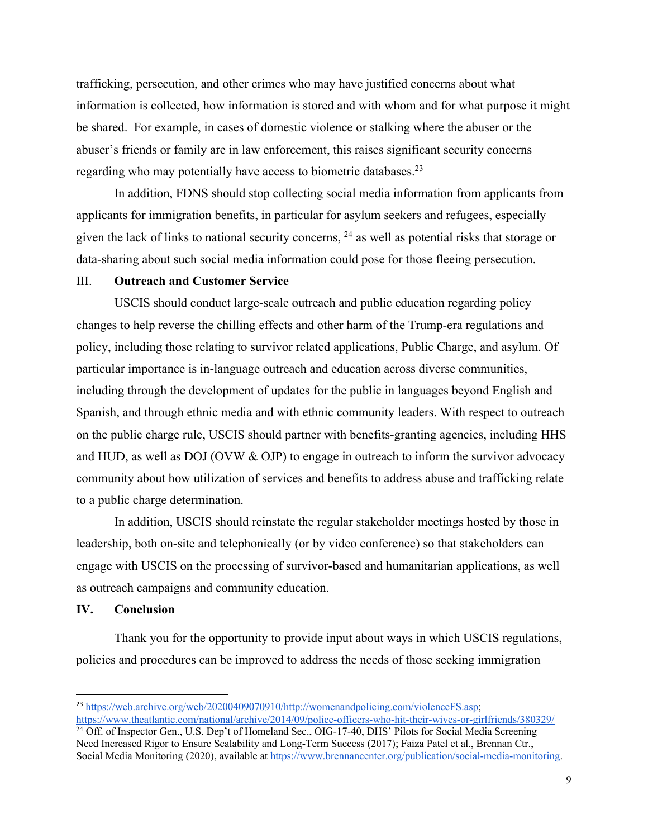trafficking, persecution, and other crimes who may have justified concerns about what information is collected, how information is stored and with whom and for what purpose it might be shared. For example, in cases of domestic violence or stalking where the abuser or the abuser's friends or family are in law enforcement, this raises significant security concerns regarding who may potentially have access to biometric databases.<sup>23</sup>

In addition, FDNS should stop collecting social media information from applicants from applicants for immigration benefits, in particular for asylum seekers and refugees, especially given the lack of links to national security concerns, 24 as well as potential risks that storage or data-sharing about such social media information could pose for those fleeing persecution.

#### III. **Outreach and Customer Service**

USCIS should conduct large-scale outreach and public education regarding policy changes to help reverse the chilling effects and other harm of the Trump-era regulations and policy, including those relating to survivor related applications, Public Charge, and asylum. Of particular importance is in-language outreach and education across diverse communities, including through the development of updates for the public in languages beyond English and Spanish, and through ethnic media and with ethnic community leaders. With respect to outreach on the public charge rule, USCIS should partner with benefits-granting agencies, including HHS and HUD, as well as DOJ (OVW & OJP) to engage in outreach to inform the survivor advocacy community about how utilization of services and benefits to address abuse and trafficking relate to a public charge determination.

In addition, USCIS should reinstate the regular stakeholder meetings hosted by those in leadership, both on-site and telephonically (or by video conference) so that stakeholders can engage with USCIS on the processing of survivor-based and humanitarian applications, as well as outreach campaigns and community education.

### **IV. Conclusion**

Thank you for the opportunity to provide input about ways in which USCIS regulations, policies and procedures can be improved to address the needs of those seeking immigration

https://www.theatlantic.com/national/archive/2014/09/police-officers-who-hit-their-wives-or-girlfriends/380329/ <sup>24</sup> Off. of Inspector Gen., U.S. Dep't of Homeland Sec., OIG-17-40, DHS' Pilots for Social Media Screening Need Increased Rigor to Ensure Scalability and Long-Term Success (2017); Faiza Patel et al., Brennan Ctr.,

<sup>&</sup>lt;sup>23</sup> https://web.archive.org/web/20200409070910/http://womenandpolicing.com/violenceFS.asp;

Social Media Monitoring (2020), available at https://www.brennancenter.org/publication/social-media-monitoring.